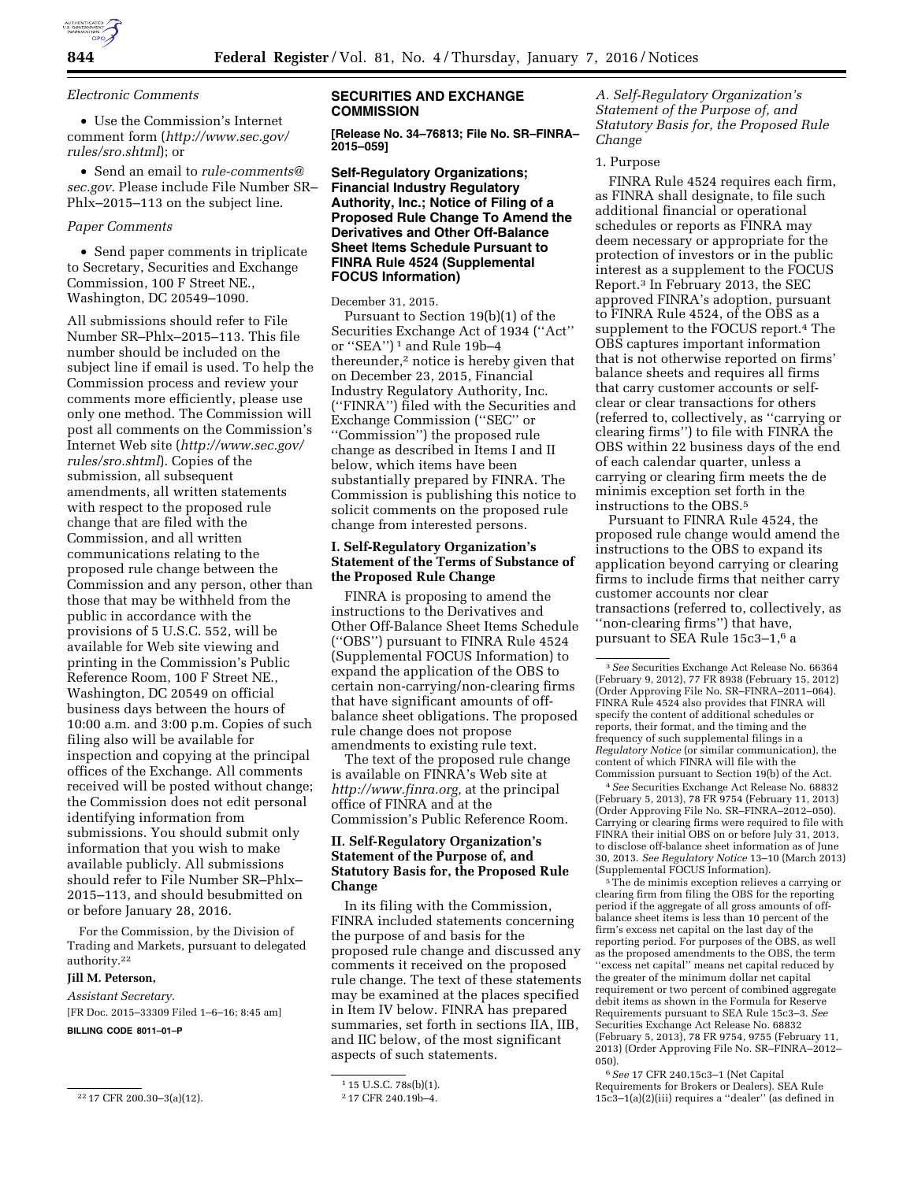

*Electronic Comments* 

• Use the Commission's Internet comment form (*[http://www.sec.gov/](http://www.sec.gov/rules/sro.shtml) [rules/sro.shtml](http://www.sec.gov/rules/sro.shtml)*); or

• Send an email to *[rule-comments@](mailto:rule-comments@sec.gov) [sec.gov.](mailto:rule-comments@sec.gov)* Please include File Number SR– Phlx–2015–113 on the subject line.

### *Paper Comments*

• Send paper comments in triplicate to Secretary, Securities and Exchange Commission, 100 F Street NE., Washington, DC 20549–1090.

All submissions should refer to File Number SR–Phlx–2015–113. This file number should be included on the subject line if email is used. To help the Commission process and review your comments more efficiently, please use only one method. The Commission will post all comments on the Commission's Internet Web site (*[http://www.sec.gov/](http://www.sec.gov/rules/sro.shtml) [rules/sro.shtml](http://www.sec.gov/rules/sro.shtml)*). Copies of the submission, all subsequent amendments, all written statements with respect to the proposed rule change that are filed with the Commission, and all written communications relating to the proposed rule change between the Commission and any person, other than those that may be withheld from the public in accordance with the provisions of 5 U.S.C. 552, will be available for Web site viewing and printing in the Commission's Public Reference Room, 100 F Street NE., Washington, DC 20549 on official business days between the hours of 10:00 a.m. and 3:00 p.m. Copies of such filing also will be available for inspection and copying at the principal offices of the Exchange. All comments received will be posted without change; the Commission does not edit personal identifying information from submissions. You should submit only information that you wish to make available publicly. All submissions should refer to File Number SR–Phlx– 2015–113, and should besubmitted on or before January 28, 2016.

For the Commission, by the Division of Trading and Markets, pursuant to delegated authority.22

#### **Jill M. Peterson,**

*Assistant Secretary.* 

[FR Doc. 2015–33309 Filed 1–6–16; 8:45 am]

**BILLING CODE 8011–01–P** 

### **SECURITIES AND EXCHANGE COMMISSION**

**[Release No. 34–76813; File No. SR–FINRA– 2015–059]** 

# **Self-Regulatory Organizations; Financial Industry Regulatory Authority, Inc.; Notice of Filing of a Proposed Rule Change To Amend the Derivatives and Other Off-Balance Sheet Items Schedule Pursuant to FINRA Rule 4524 (Supplemental FOCUS Information)**

December 31, 2015.

Pursuant to Section 19(b)(1) of the Securities Exchange Act of 1934 (''Act'' or ''SEA'') 1 and Rule 19b–4 thereunder,<sup>2</sup> notice is hereby given that on December 23, 2015, Financial Industry Regulatory Authority, Inc. (''FINRA'') filed with the Securities and Exchange Commission (''SEC'' or ''Commission'') the proposed rule change as described in Items I and II below, which items have been substantially prepared by FINRA. The Commission is publishing this notice to solicit comments on the proposed rule change from interested persons.

# **I. Self-Regulatory Organization's Statement of the Terms of Substance of the Proposed Rule Change**

FINRA is proposing to amend the instructions to the Derivatives and Other Off-Balance Sheet Items Schedule (''OBS'') pursuant to FINRA Rule 4524 (Supplemental FOCUS Information) to expand the application of the OBS to certain non-carrying/non-clearing firms that have significant amounts of offbalance sheet obligations. The proposed rule change does not propose amendments to existing rule text.

The text of the proposed rule change is available on FINRA's Web site at *[http://www.finra.org,](http://www.finra.org)* at the principal office of FINRA and at the Commission's Public Reference Room.

# **II. Self-Regulatory Organization's Statement of the Purpose of, and Statutory Basis for, the Proposed Rule Change**

In its filing with the Commission, FINRA included statements concerning the purpose of and basis for the proposed rule change and discussed any comments it received on the proposed rule change. The text of these statements may be examined at the places specified in Item IV below. FINRA has prepared summaries, set forth in sections IIA, IIB, and IIC below, of the most significant aspects of such statements.

1 15 U.S.C. 78s(b)(1). 2 17 CFR 240.19b–4.

*A. Self-Regulatory Organization's Statement of the Purpose of, and Statutory Basis for, the Proposed Rule Change* 

#### 1. Purpose

FINRA Rule 4524 requires each firm, as FINRA shall designate, to file such additional financial or operational schedules or reports as FINRA may deem necessary or appropriate for the protection of investors or in the public interest as a supplement to the FOCUS Report.3 In February 2013, the SEC approved FINRA's adoption, pursuant to FINRA Rule 4524, of the OBS as a supplement to the FOCUS report.4 The OBS captures important information that is not otherwise reported on firms' balance sheets and requires all firms that carry customer accounts or selfclear or clear transactions for others (referred to, collectively, as ''carrying or clearing firms'') to file with FINRA the OBS within 22 business days of the end of each calendar quarter, unless a carrying or clearing firm meets the de minimis exception set forth in the instructions to the OBS.5

Pursuant to FINRA Rule 4524, the proposed rule change would amend the instructions to the OBS to expand its application beyond carrying or clearing firms to include firms that neither carry customer accounts nor clear transactions (referred to, collectively, as ''non-clearing firms'') that have, pursuant to SEA Rule 15c3–1,6 a

4*See* Securities Exchange Act Release No. 68832 (February 5, 2013), 78 FR 9754 (February 11, 2013) (Order Approving File No. SR–FINRA–2012–050). Carrying or clearing firms were required to file with FINRA their initial OBS on or before July 31, 2013, to disclose off-balance sheet information as of June 30, 2013. *See Regulatory Notice* 13–10 (March 2013) (Supplemental FOCUS Information).

<sup>5</sup>The de minimis exception relieves a carrying or clearing firm from filing the OBS for the reporting period if the aggregate of all gross amounts of off-balance sheet items is less than 10 percent of the firm's excess net capital on the last day of the reporting period. For purposes of the OBS, as well as the proposed amendments to the OBS, the term ''excess net capital'' means net capital reduced by the greater of the minimum dollar net capital requirement or two percent of combined aggregate debit items as shown in the Formula for Reserve Requirements pursuant to SEA Rule 15c3–3. *See*  Securities Exchange Act Release No. 68832 (February 5, 2013), 78 FR 9754, 9755 (February 11, 2013) (Order Approving File No. SR–FINRA–2012– 050).

6*See* 17 CFR 240.15c3–1 (Net Capital Requirements for Brokers or Dealers). SEA Rule 15c3–1(a)(2)(iii) requires a ''dealer'' (as defined in

<sup>22</sup> 17 CFR 200.30–3(a)(12).

<sup>3</sup>*See* Securities Exchange Act Release No. 66364 (February 9, 2012), 77 FR 8938 (February 15, 2012) (Order Approving File No. SR–FINRA–2011–064). FINRA Rule 4524 also provides that FINRA will specify the content of additional schedules or reports, their format, and the timing and the frequency of such supplemental filings in a *Regulatory Notice* (or similar communication), the content of which FINRA will file with the Commission pursuant to Section 19(b) of the Act.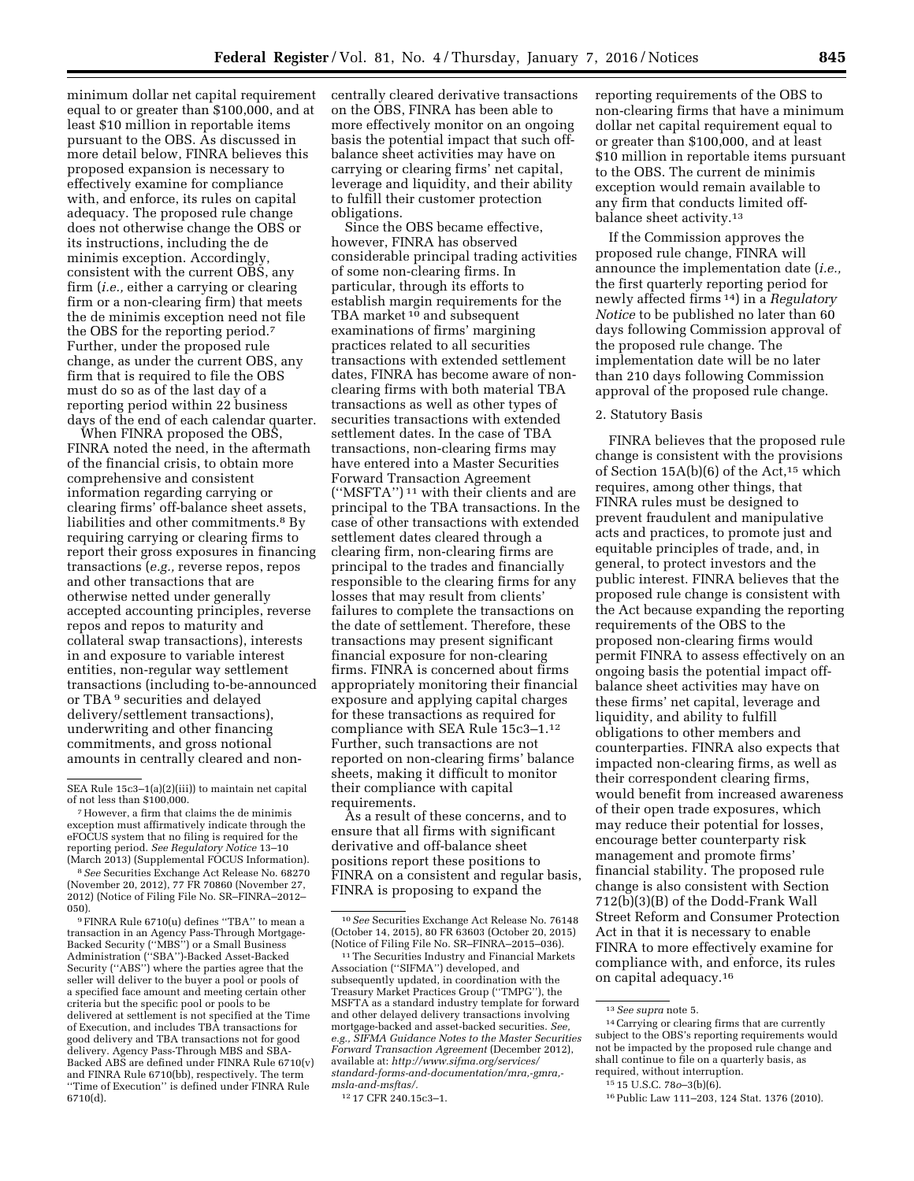minimum dollar net capital requirement equal to or greater than \$100,000, and at least \$10 million in reportable items pursuant to the OBS. As discussed in more detail below, FINRA believes this proposed expansion is necessary to effectively examine for compliance with, and enforce, its rules on capital adequacy. The proposed rule change does not otherwise change the OBS or its instructions, including the de minimis exception. Accordingly, consistent with the current OBS, any firm (*i.e.,* either a carrying or clearing firm or a non-clearing firm) that meets the de minimis exception need not file the OBS for the reporting period.7 Further, under the proposed rule change, as under the current OBS, any firm that is required to file the OBS must do so as of the last day of a reporting period within 22 business days of the end of each calendar quarter.

When FINRA proposed the OBS, FINRA noted the need, in the aftermath of the financial crisis, to obtain more comprehensive and consistent information regarding carrying or clearing firms' off-balance sheet assets, liabilities and other commitments.8 By requiring carrying or clearing firms to report their gross exposures in financing transactions (*e.g.,* reverse repos, repos and other transactions that are otherwise netted under generally accepted accounting principles, reverse repos and repos to maturity and collateral swap transactions), interests in and exposure to variable interest entities, non-regular way settlement transactions (including to-be-announced or TBA 9 securities and delayed delivery/settlement transactions), underwriting and other financing commitments, and gross notional amounts in centrally cleared and non-

<sup>7</sup> However, a firm that claims the de minimis exception must affirmatively indicate through the eFOCUS system that no filing is required for the reporting period. *See Regulatory Notice* 13–10

(March 2013) (Supplemental FOCUS Information). 8*See* Securities Exchange Act Release No. 68270 (November 20, 2012), 77 FR 70860 (November 27, 2012) (Notice of Filing File No. SR–FINRA–2012– 050).

9FINRA Rule 6710(u) defines ''TBA'' to mean a transaction in an Agency Pass-Through Mortgage-Backed Security (''MBS'') or a Small Business Administration (''SBA'')-Backed Asset-Backed Security (''ABS'') where the parties agree that the seller will deliver to the buyer a pool or pools of a specified face amount and meeting certain other criteria but the specific pool or pools to be delivered at settlement is not specified at the Time of Execution, and includes TBA transactions for good delivery and TBA transactions not for good delivery. Agency Pass-Through MBS and SBA-Backed ABS are defined under FINRA Rule 6710(v) and FINRA Rule 6710(bb), respectively. The term ''Time of Execution'' is defined under FINRA Rule 6710(d).

centrally cleared derivative transactions on the OBS, FINRA has been able to more effectively monitor on an ongoing basis the potential impact that such offbalance sheet activities may have on carrying or clearing firms' net capital, leverage and liquidity, and their ability to fulfill their customer protection obligations.

Since the OBS became effective, however, FINRA has observed considerable principal trading activities of some non-clearing firms. In particular, through its efforts to establish margin requirements for the TBA market <sup>10</sup> and subsequent examinations of firms' margining practices related to all securities transactions with extended settlement dates, FINRA has become aware of nonclearing firms with both material TBA transactions as well as other types of securities transactions with extended settlement dates. In the case of TBA transactions, non-clearing firms may have entered into a Master Securities Forward Transaction Agreement (''MSFTA'') 11 with their clients and are principal to the TBA transactions. In the case of other transactions with extended settlement dates cleared through a clearing firm, non-clearing firms are principal to the trades and financially responsible to the clearing firms for any losses that may result from clients' failures to complete the transactions on the date of settlement. Therefore, these transactions may present significant financial exposure for non-clearing firms. FINRA is concerned about firms appropriately monitoring their financial exposure and applying capital charges for these transactions as required for compliance with SEA Rule 15c3–1.12 Further, such transactions are not reported on non-clearing firms' balance sheets, making it difficult to monitor their compliance with capital requirements.

As a result of these concerns, and to ensure that all firms with significant derivative and off-balance sheet positions report these positions to FINRA on a consistent and regular basis, FINRA is proposing to expand the

reporting requirements of the OBS to non-clearing firms that have a minimum dollar net capital requirement equal to or greater than \$100,000, and at least \$10 million in reportable items pursuant to the OBS. The current de minimis exception would remain available to any firm that conducts limited offbalance sheet activity.13

If the Commission approves the proposed rule change, FINRA will announce the implementation date (*i.e.,*  the first quarterly reporting period for newly affected firms 14) in a *Regulatory Notice* to be published no later than 60 days following Commission approval of the proposed rule change. The implementation date will be no later than 210 days following Commission approval of the proposed rule change.

# 2. Statutory Basis

FINRA believes that the proposed rule change is consistent with the provisions of Section  $15A(b)(6)$  of the Act,<sup>15</sup> which requires, among other things, that FINRA rules must be designed to prevent fraudulent and manipulative acts and practices, to promote just and equitable principles of trade, and, in general, to protect investors and the public interest. FINRA believes that the proposed rule change is consistent with the Act because expanding the reporting requirements of the OBS to the proposed non-clearing firms would permit FINRA to assess effectively on an ongoing basis the potential impact offbalance sheet activities may have on these firms' net capital, leverage and liquidity, and ability to fulfill obligations to other members and counterparties. FINRA also expects that impacted non-clearing firms, as well as their correspondent clearing firms, would benefit from increased awareness of their open trade exposures, which may reduce their potential for losses, encourage better counterparty risk management and promote firms' financial stability. The proposed rule change is also consistent with Section 712(b)(3)(B) of the Dodd-Frank Wall Street Reform and Consumer Protection Act in that it is necessary to enable FINRA to more effectively examine for compliance with, and enforce, its rules on capital adequacy.16

SEA Rule 15c3–1(a)(2)(iii)) to maintain net capital

<sup>10</sup>*See* Securities Exchange Act Release No. 76148 (October 14, 2015), 80 FR 63603 (October 20, 2015)

<sup>&</sup>lt;sup>11</sup> The Securities Industry and Financial Markets Association (''SIFMA'') developed, and subsequently updated, in coordination with the Treasury Market Practices Group (''TMPG''), the MSFTA as a standard industry template for forward and other delayed delivery transactions involving mortgage-backed and asset-backed securities. *See, e.g., SIFMA Guidance Notes to the Master Securities Forward Transaction Agreement* (December 2012), available at: *[http://www.sifma.org/services/](http://www.sifma.org/services/standard-forms-and-documentation/mra,-gmra,-msla-and-msftas/) [standard-forms-and-documentation/mra,-gmra,](http://www.sifma.org/services/standard-forms-and-documentation/mra,-gmra,-msla-and-msftas/)  msla-and-msftas/.* 

<sup>12</sup> 17 CFR 240.15c3–1.

<sup>13</sup>*See supra* note 5.

<sup>14</sup>Carrying or clearing firms that are currently subject to the OBS's reporting requirements would not be impacted by the proposed rule change and shall continue to file on a quarterly basis, as required, without interruption.

<sup>15</sup> 15 U.S.C. 78*o*–3(b)(6).

<sup>16</sup>Public Law 111–203, 124 Stat. 1376 (2010).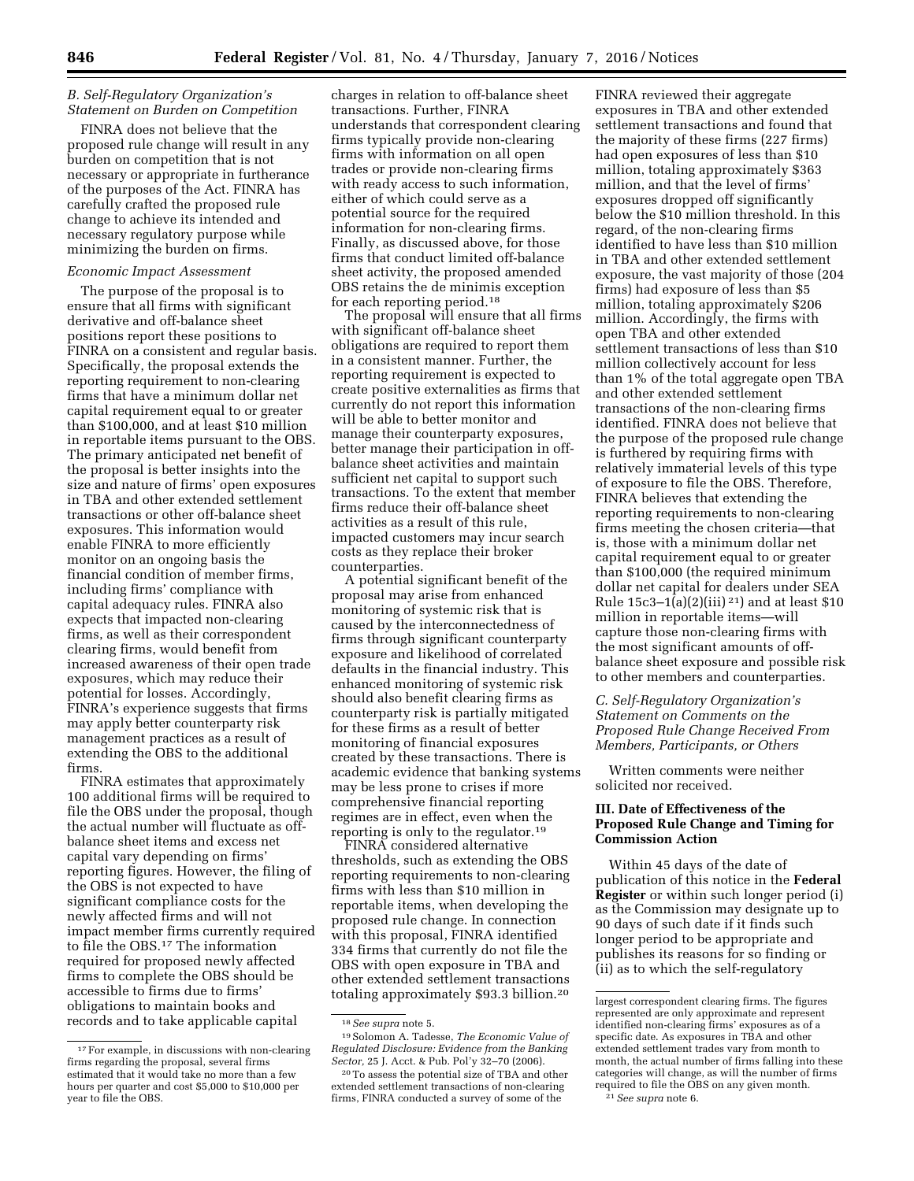### *B. Self-Regulatory Organization's Statement on Burden on Competition*

FINRA does not believe that the proposed rule change will result in any burden on competition that is not necessary or appropriate in furtherance of the purposes of the Act. FINRA has carefully crafted the proposed rule change to achieve its intended and necessary regulatory purpose while minimizing the burden on firms.

### *Economic Impact Assessment*

The purpose of the proposal is to ensure that all firms with significant derivative and off-balance sheet positions report these positions to FINRA on a consistent and regular basis. Specifically, the proposal extends the reporting requirement to non-clearing firms that have a minimum dollar net capital requirement equal to or greater than \$100,000, and at least \$10 million in reportable items pursuant to the OBS. The primary anticipated net benefit of the proposal is better insights into the size and nature of firms' open exposures in TBA and other extended settlement transactions or other off-balance sheet exposures. This information would enable FINRA to more efficiently monitor on an ongoing basis the financial condition of member firms, including firms' compliance with capital adequacy rules. FINRA also expects that impacted non-clearing firms, as well as their correspondent clearing firms, would benefit from increased awareness of their open trade exposures, which may reduce their potential for losses. Accordingly, FINRA's experience suggests that firms may apply better counterparty risk management practices as a result of extending the OBS to the additional firms.

FINRA estimates that approximately 100 additional firms will be required to file the OBS under the proposal, though the actual number will fluctuate as offbalance sheet items and excess net capital vary depending on firms' reporting figures. However, the filing of the OBS is not expected to have significant compliance costs for the newly affected firms and will not impact member firms currently required to file the OBS.17 The information required for proposed newly affected firms to complete the OBS should be accessible to firms due to firms' obligations to maintain books and records and to take applicable capital

charges in relation to off-balance sheet transactions. Further, FINRA understands that correspondent clearing firms typically provide non-clearing firms with information on all open trades or provide non-clearing firms with ready access to such information, either of which could serve as a potential source for the required information for non-clearing firms. Finally, as discussed above, for those firms that conduct limited off-balance sheet activity, the proposed amended OBS retains the de minimis exception for each reporting period.18

The proposal will ensure that all firms with significant off-balance sheet obligations are required to report them in a consistent manner. Further, the reporting requirement is expected to create positive externalities as firms that currently do not report this information will be able to better monitor and manage their counterparty exposures, better manage their participation in offbalance sheet activities and maintain sufficient net capital to support such transactions. To the extent that member firms reduce their off-balance sheet activities as a result of this rule, impacted customers may incur search costs as they replace their broker counterparties.

A potential significant benefit of the proposal may arise from enhanced monitoring of systemic risk that is caused by the interconnectedness of firms through significant counterparty exposure and likelihood of correlated defaults in the financial industry. This enhanced monitoring of systemic risk should also benefit clearing firms as counterparty risk is partially mitigated for these firms as a result of better monitoring of financial exposures created by these transactions. There is academic evidence that banking systems may be less prone to crises if more comprehensive financial reporting regimes are in effect, even when the reporting is only to the regulator.19

FINRA considered alternative thresholds, such as extending the OBS reporting requirements to non-clearing firms with less than \$10 million in reportable items, when developing the proposed rule change. In connection with this proposal, FINRA identified 334 firms that currently do not file the OBS with open exposure in TBA and other extended settlement transactions totaling approximately \$93.3 billion.20

FINRA reviewed their aggregate exposures in TBA and other extended settlement transactions and found that the majority of these firms (227 firms) had open exposures of less than \$10 million, totaling approximately \$363 million, and that the level of firms' exposures dropped off significantly below the \$10 million threshold. In this regard, of the non-clearing firms identified to have less than \$10 million in TBA and other extended settlement exposure, the vast majority of those (204 firms) had exposure of less than \$5 million, totaling approximately \$206 million. Accordingly, the firms with open TBA and other extended settlement transactions of less than \$10 million collectively account for less than 1% of the total aggregate open TBA and other extended settlement transactions of the non-clearing firms identified. FINRA does not believe that the purpose of the proposed rule change is furthered by requiring firms with relatively immaterial levels of this type of exposure to file the OBS. Therefore, FINRA believes that extending the reporting requirements to non-clearing firms meeting the chosen criteria—that is, those with a minimum dollar net capital requirement equal to or greater than \$100,000 (the required minimum dollar net capital for dealers under SEA Rule  $15c3-1(a)(2)(iii)$  21) and at least \$10 million in reportable items—will capture those non-clearing firms with the most significant amounts of offbalance sheet exposure and possible risk to other members and counterparties.

# *C. Self-Regulatory Organization's Statement on Comments on the Proposed Rule Change Received From Members, Participants, or Others*

Written comments were neither solicited nor received.

# **III. Date of Effectiveness of the Proposed Rule Change and Timing for Commission Action**

Within 45 days of the date of publication of this notice in the **Federal Register** or within such longer period (i) as the Commission may designate up to 90 days of such date if it finds such longer period to be appropriate and publishes its reasons for so finding or (ii) as to which the self-regulatory

<sup>17</sup>For example, in discussions with non-clearing firms regarding the proposal, several firms estimated that it would take no more than a few hours per quarter and cost \$5,000 to \$10,000 per year to file the OBS.

<sup>18</sup>*See supra* note 5.

<sup>19</sup>Solomon A. Tadesse, *The Economic Value of Regulated Disclosure: Evidence from the Banking Sector,* 25 J. Acct. & Pub. Pol'y 32–70 (2006).

<sup>20</sup>To assess the potential size of TBA and other extended settlement transactions of non-clearing firms, FINRA conducted a survey of some of the

largest correspondent clearing firms. The figures represented are only approximate and represent identified non-clearing firms' exposures as of a specific date. As exposures in TBA and other extended settlement trades vary from month to month, the actual number of firms falling into these categories will change, as will the number of firms required to file the OBS on any given month.